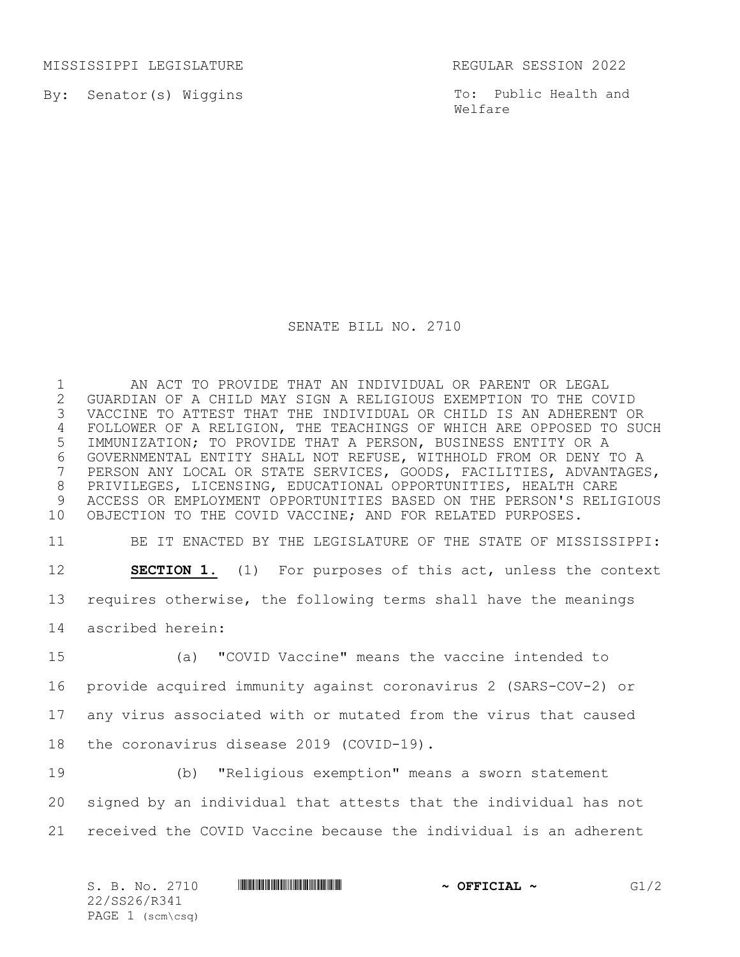MISSISSIPPI LEGISLATURE REGULAR SESSION 2022

By: Senator(s) Wiggins

To: Public Health and Welfare

## SENATE BILL NO. 2710

 AN ACT TO PROVIDE THAT AN INDIVIDUAL OR PARENT OR LEGAL GUARDIAN OF A CHILD MAY SIGN A RELIGIOUS EXEMPTION TO THE COVID VACCINE TO ATTEST THAT THE INDIVIDUAL OR CHILD IS AN ADHERENT OR FOLLOWER OF A RELIGION, THE TEACHINGS OF WHICH ARE OPPOSED TO SUCH IMMUNIZATION; TO PROVIDE THAT A PERSON, BUSINESS ENTITY OR A GOVERNMENTAL ENTITY SHALL NOT REFUSE, WITHHOLD FROM OR DENY TO A PERSON ANY LOCAL OR STATE SERVICES, GOODS, FACILITIES, ADVANTAGES, PRIVILEGES, LICENSING, EDUCATIONAL OPPORTUNITIES, HEALTH CARE ACCESS OR EMPLOYMENT OPPORTUNITIES BASED ON THE PERSON'S RELIGIOUS OBJECTION TO THE COVID VACCINE; AND FOR RELATED PURPOSES.

 BE IT ENACTED BY THE LEGISLATURE OF THE STATE OF MISSISSIPPI: **SECTION 1.** (1) For purposes of this act, unless the context requires otherwise, the following terms shall have the meanings ascribed herein:

 (a) "COVID Vaccine" means the vaccine intended to provide acquired immunity against coronavirus 2 (SARS-COV-2) or any virus associated with or mutated from the virus that caused the coronavirus disease 2019 (COVID-19).

 (b) "Religious exemption" means a sworn statement signed by an individual that attests that the individual has not received the COVID Vaccine because the individual is an adherent